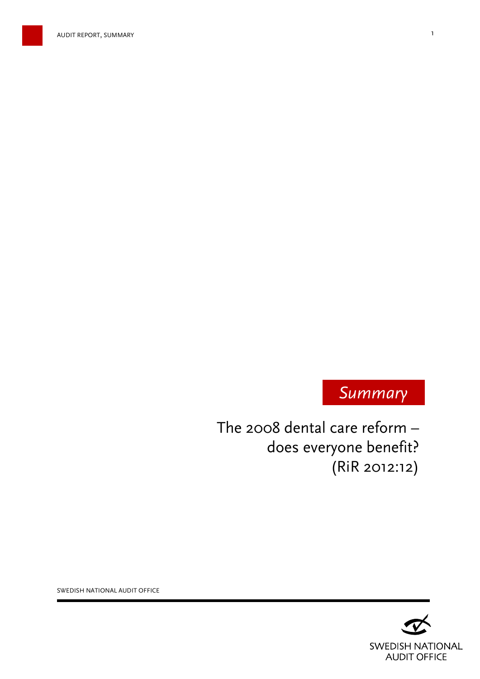



The 2008 dental care reform – does everyone benefit? (RiR 2012:12)

> **SWEDISH NATIONAL AUDIT OFFICE**

SWEDISH NATIONAL AUDIT OFFICE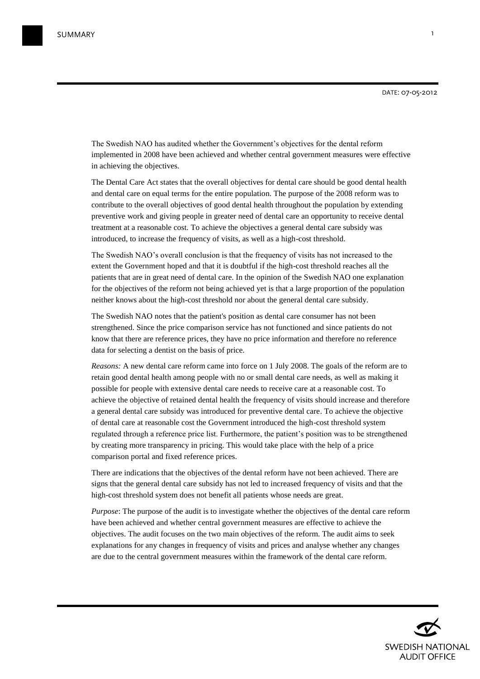The Swedish NAO has audited whether the Government's objectives for the dental reform implemented in 2008 have been achieved and whether central government measures were effective in achieving the objectives.

The Dental Care Act states that the overall objectives for dental care should be good dental health and dental care on equal terms for the entire population. The purpose of the 2008 reform was to contribute to the overall objectives of good dental health throughout the population by extending preventive work and giving people in greater need of dental care an opportunity to receive dental treatment at a reasonable cost. To achieve the objectives a general dental care subsidy was introduced, to increase the frequency of visits, as well as a high-cost threshold.

The Swedish NAO's overall conclusion is that the frequency of visits has not increased to the extent the Government hoped and that it is doubtful if the high-cost threshold reaches all the patients that are in great need of dental care. In the opinion of the Swedish NAO one explanation for the objectives of the reform not being achieved yet is that a large proportion of the population neither knows about the high-cost threshold nor about the general dental care subsidy.

The Swedish NAO notes that the patient's position as dental care consumer has not been strengthened. Since the price comparison service has not functioned and since patients do not know that there are reference prices, they have no price information and therefore no reference data for selecting a dentist on the basis of price.

*Reasons:* A new dental care reform came into force on 1 July 2008. The goals of the reform are to retain good dental health among people with no or small dental care needs, as well as making it possible for people with extensive dental care needs to receive care at a reasonable cost. To achieve the objective of retained dental health the frequency of visits should increase and therefore a general dental care subsidy was introduced for preventive dental care. To achieve the objective of dental care at reasonable cost the Government introduced the high-cost threshold system regulated through a reference price list. Furthermore, the patient's position was to be strengthened by creating more transparency in pricing. This would take place with the help of a price comparison portal and fixed reference prices.

There are indications that the objectives of the dental reform have not been achieved. There are signs that the general dental care subsidy has not led to increased frequency of visits and that the high-cost threshold system does not benefit all patients whose needs are great.

*Purpose*: The purpose of the audit is to investigate whether the objectives of the dental care reform have been achieved and whether central government measures are effective to achieve the objectives. The audit focuses on the two main objectives of the reform. The audit aims to seek explanations for any changes in frequency of visits and prices and analyse whether any changes are due to the central government measures within the framework of the dental care reform.

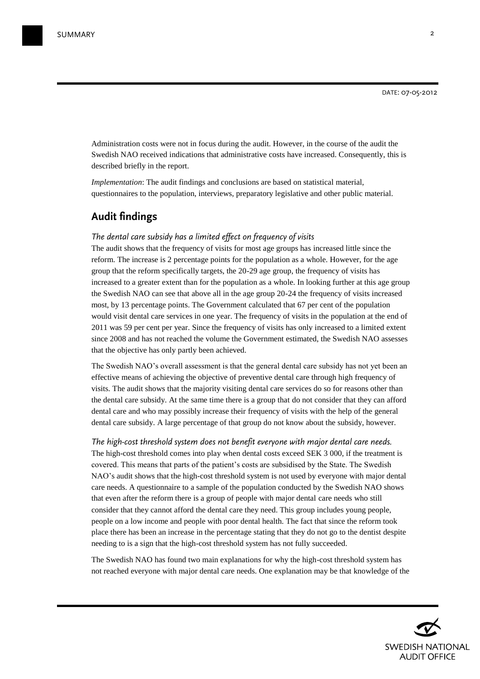Administration costs were not in focus during the audit. However, in the course of the audit the Swedish NAO received indications that administrative costs have increased. Consequently, this is described briefly in the report.

*Implementation*: The audit findings and conclusions are based on statistical material, questionnaires to the population, interviews, preparatory legislative and other public material.

# **Audit findings**

### *The dental care subsidy has a limited effect on frequency of visits*

The audit shows that the frequency of visits for most age groups has increased little since the reform. The increase is 2 percentage points for the population as a whole. However, for the age group that the reform specifically targets, the 20-29 age group, the frequency of visits has increased to a greater extent than for the population as a whole. In looking further at this age group the Swedish NAO can see that above all in the age group 20-24 the frequency of visits increased most, by 13 percentage points. The Government calculated that 67 per cent of the population would visit dental care services in one year. The frequency of visits in the population at the end of 2011 was 59 per cent per year. Since the frequency of visits has only increased to a limited extent since 2008 and has not reached the volume the Government estimated, the Swedish NAO assesses that the objective has only partly been achieved.

The Swedish NAO's overall assessment is that the general dental care subsidy has not yet been an effective means of achieving the objective of preventive dental care through high frequency of visits. The audit shows that the majority visiting dental care services do so for reasons other than the dental care subsidy. At the same time there is a group that do not consider that they can afford dental care and who may possibly increase their frequency of visits with the help of the general dental care subsidy. A large percentage of that group do not know about the subsidy, however.

*The high-cost threshold system does not benefit everyone with major dental care needs.*  The high-cost threshold comes into play when dental costs exceed SEK 3 000, if the treatment is covered. This means that parts of the patient's costs are subsidised by the State. The Swedish NAO's audit shows that the high-cost threshold system is not used by everyone with major dental care needs. A questionnaire to a sample of the population conducted by the Swedish NAO shows that even after the reform there is a group of people with major dental care needs who still consider that they cannot afford the dental care they need. This group includes young people, people on a low income and people with poor dental health. The fact that since the reform took place there has been an increase in the percentage stating that they do not go to the dentist despite needing to is a sign that the high-cost threshold system has not fully succeeded.

The Swedish NAO has found two main explanations for why the high-cost threshold system has not reached everyone with major dental care needs. One explanation may be that knowledge of the

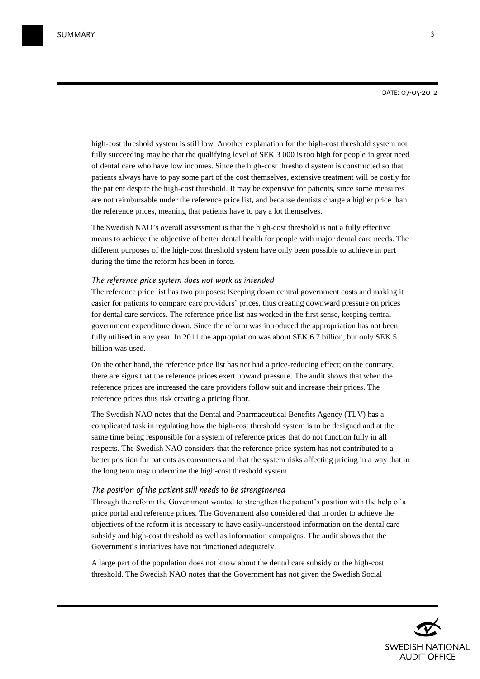high-cost threshold system is still low. Another explanation for the high-cost threshold system not fully succeeding may be that the qualifying level of SEK 3 000 is too high for people in great need of dental care who have low incomes. Since the high-cost threshold system is constructed so that patients always have to pay some part of the cost themselves, extensive treatment will be costly for the patient despite the high-cost threshold. It may be expensive for patients, since some measures are not reimbursable under the reference price list, and because dentists charge a higher price than the reference prices, meaning that patients have to pay a lot themselves.

The Swedish NAO's overall assessment is that the high-cost threshold is not a fully effective means to achieve the objective of better dental health for people with major dental care needs. The different purposes of the high-cost threshold system have only been possible to achieve in part during the time the reform has been in force.

#### *The reference price system does not work as intended*

The reference price list has two purposes: Keeping down central government costs and making it easier for patients to compare care providers' prices, thus creating downward pressure on prices for dental care services. The reference price list has worked in the first sense, keeping central government expenditure down. Since the reform was introduced the appropriation has not been fully utilised in any year. In 2011 the appropriation was about SEK 6.7 billion, but only SEK 5 billion was used.

On the other hand, the reference price list has not had a price-reducing effect; on the contrary, there are signs that the reference prices exert upward pressure. The audit shows that when the reference prices are increased the care providers follow suit and increase their prices. The reference prices thus risk creating a pricing floor.

The Swedish NAO notes that the Dental and Pharmaceutical Benefits Agency (TLV) has a complicated task in regulating how the high-cost threshold system is to be designed and at the same time being responsible for a system of reference prices that do not function fully in all respects. The Swedish NAO considers that the reference price system has not contributed to a better position for patients as consumers and that the system risks affecting pricing in a way that in the long term may undermine the high-cost threshold system.

## *The position of the patient still needs to be strengthened*

Through the reform the Government wanted to strengthen the patient's position with the help of a price portal and reference prices. The Government also considered that in order to achieve the objectives of the reform it is necessary to have easily-understood information on the dental care subsidy and high-cost threshold as well as information campaigns. The audit shows that the Government's initiatives have not functioned adequately.

A large part of the population does not know about the dental care subsidy or the high-cost threshold. The Swedish NAO notes that the Government has not given the Swedish Social

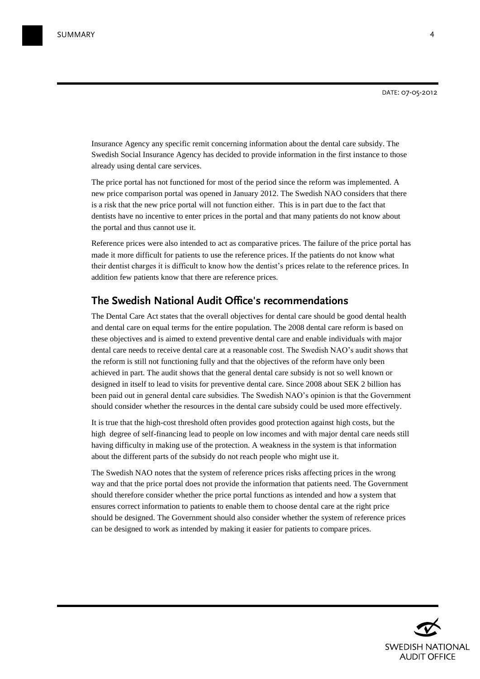Insurance Agency any specific remit concerning information about the dental care subsidy. The Swedish Social Insurance Agency has decided to provide information in the first instance to those already using dental care services.

The price portal has not functioned for most of the period since the reform was implemented. A new price comparison portal was opened in January 2012. The Swedish NAO considers that there is a risk that the new price portal will not function either. This is in part due to the fact that dentists have no incentive to enter prices in the portal and that many patients do not know about the portal and thus cannot use it.

Reference prices were also intended to act as comparative prices. The failure of the price portal has made it more difficult for patients to use the reference prices. If the patients do not know what their dentist charges it is difficult to know how the dentist's prices relate to the reference prices. In addition few patients know that there are reference prices.

## **The Swedish National Audit Office's recommendations**

The Dental Care Act states that the overall objectives for dental care should be good dental health and dental care on equal terms for the entire population. The 2008 dental care reform is based on these objectives and is aimed to extend preventive dental care and enable individuals with major dental care needs to receive dental care at a reasonable cost. The Swedish NAO's audit shows that the reform is still not functioning fully and that the objectives of the reform have only been achieved in part. The audit shows that the general dental care subsidy is not so well known or designed in itself to lead to visits for preventive dental care. Since 2008 about SEK 2 billion has been paid out in general dental care subsidies. The Swedish NAO's opinion is that the Government should consider whether the resources in the dental care subsidy could be used more effectively.

It is true that the high-cost threshold often provides good protection against high costs, but the high degree of self-financing lead to people on low incomes and with major dental care needs still having difficulty in making use of the protection. A weakness in the system is that information about the different parts of the subsidy do not reach people who might use it.

The Swedish NAO notes that the system of reference prices risks affecting prices in the wrong way and that the price portal does not provide the information that patients need. The Government should therefore consider whether the price portal functions as intended and how a system that ensures correct information to patients to enable them to choose dental care at the right price should be designed. The Government should also consider whether the system of reference prices can be designed to work as intended by making it easier for patients to compare prices.